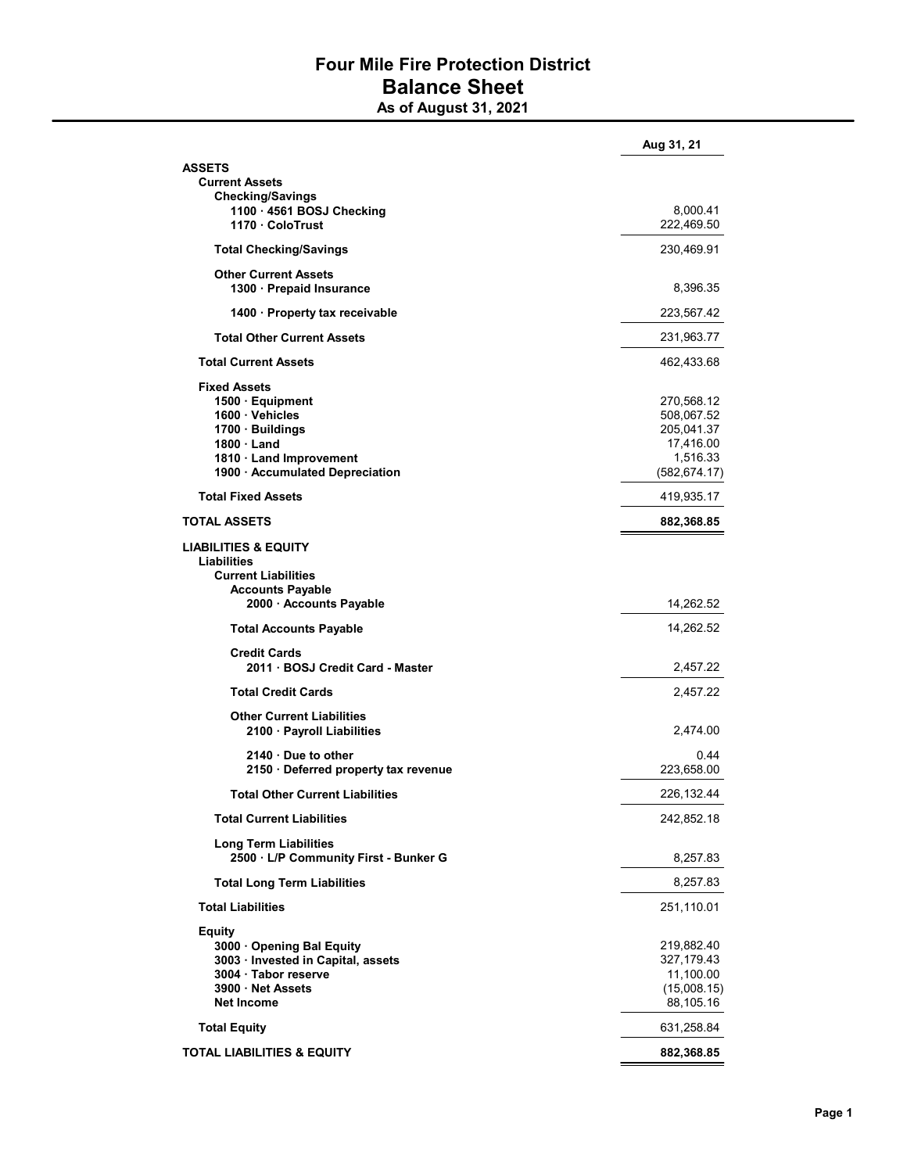## Four Mile Fire Protection District Balance Sheet

As of August 31, 2021

|                                                                       | Aug 31, 21             |
|-----------------------------------------------------------------------|------------------------|
| ASSETS                                                                |                        |
| <b>Current Assets</b>                                                 |                        |
| <b>Checking/Savings</b>                                               |                        |
| 1100 · 4561 BOSJ Checking<br>1170 ColoTrust                           | 8,000.41<br>222,469.50 |
|                                                                       |                        |
| <b>Total Checking/Savings</b>                                         | 230,469.91             |
| <b>Other Current Assets</b>                                           |                        |
| 1300 · Prepaid Insurance                                              | 8,396.35               |
| 1400 · Property tax receivable                                        | 223,567.42             |
| <b>Total Other Current Assets</b>                                     | 231,963.77             |
| <b>Total Current Assets</b>                                           | 462,433.68             |
| <b>Fixed Assets</b>                                                   |                        |
| $1500 \cdot$ Equipment                                                | 270,568.12             |
| 1600 · Vehicles                                                       | 508,067.52             |
| 1700 · Buildings                                                      | 205,041.37             |
| $1800 \cdot$ Land                                                     | 17,416.00              |
| 1810 Land Improvement                                                 | 1,516.33               |
| 1900 · Accumulated Depreciation                                       | (582, 674.17)          |
| <b>Total Fixed Assets</b>                                             | 419,935.17             |
| TOTAL ASSETS                                                          | 882,368.85             |
| <b>LIABILITIES &amp; EQUITY</b>                                       |                        |
| Liabilities                                                           |                        |
| <b>Current Liabilities</b>                                            |                        |
| <b>Accounts Payable</b>                                               |                        |
| 2000 · Accounts Payable                                               | 14,262.52              |
|                                                                       |                        |
| <b>Total Accounts Payable</b>                                         | 14,262.52              |
| <b>Credit Cards</b>                                                   |                        |
| 2011 · BOSJ Credit Card - Master                                      | 2,457.22               |
| <b>Total Credit Cards</b>                                             | 2,457.22               |
| <b>Other Current Liabilities</b>                                      |                        |
| 2100 · Payroll Liabilities                                            | 2,474.00               |
| 2140 Due to other                                                     | 0.44                   |
| 2150 · Deferred property tax revenue                                  | 223,658.00             |
| <b>Total Other Current Liabilities</b>                                | 226,132.44             |
| <b>Total Current Liabilities</b>                                      | 242,852.18             |
|                                                                       |                        |
| <b>Long Term Liabilities</b><br>2500 · L/P Community First - Bunker G | 8,257.83               |
| <b>Total Long Term Liabilities</b>                                    | 8,257.83               |
| <b>Total Liabilities</b>                                              | 251,110.01             |
|                                                                       |                        |
| <b>Equity</b>                                                         |                        |
| 3000 Opening Bal Equity                                               | 219,882.40             |
| 3003 · Invested in Capital, assets                                    | 327,179.43             |
| 3004 · Tabor reserve                                                  | 11,100.00              |
| 3900 · Net Assets                                                     | (15,008.15)            |
| <b>Net Income</b>                                                     | 88,105.16              |
| <b>Total Equity</b>                                                   | 631,258.84             |
| TOTAL LIABILITIES & EQUITY                                            | 882,368.85             |